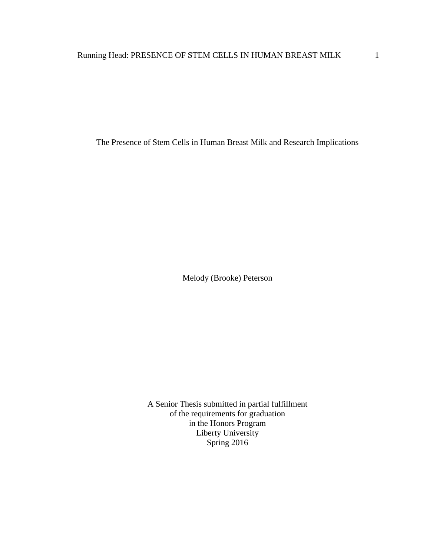The Presence of Stem Cells in Human Breast Milk and Research Implications

Melody (Brooke) Peterson

A Senior Thesis submitted in partial fulfillment of the requirements for graduation in the Honors Program Liberty University Spring 2016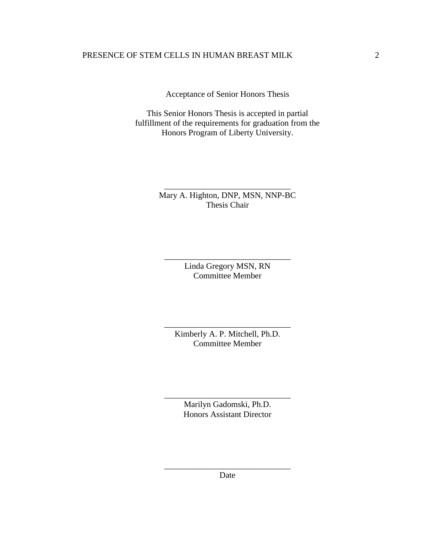Acceptance of Senior Honors Thesis

This Senior Honors Thesis is accepted in partial fulfillment of the requirements for graduation from the Honors Program of Liberty University.

> Mary A. Highton, DNP, MSN, NNP-BC Thesis Chair

\_\_\_\_\_\_\_\_\_\_\_\_\_\_\_\_\_\_\_\_\_\_\_\_\_\_\_\_\_\_

Linda Gregory MSN, RN Committee Member

\_\_\_\_\_\_\_\_\_\_\_\_\_\_\_\_\_\_\_\_\_\_\_\_\_\_\_\_\_\_

Kimberly A. P. Mitchell, Ph.D. Committee Member

\_\_\_\_\_\_\_\_\_\_\_\_\_\_\_\_\_\_\_\_\_\_\_\_\_\_\_\_\_\_

Marilyn Gadomski, Ph.D. Honors Assistant Director

\_\_\_\_\_\_\_\_\_\_\_\_\_\_\_\_\_\_\_\_\_\_\_\_\_\_\_\_\_\_

\_\_\_\_\_\_\_\_\_\_\_\_\_\_\_\_\_\_\_\_\_\_\_\_\_\_\_\_\_\_ Date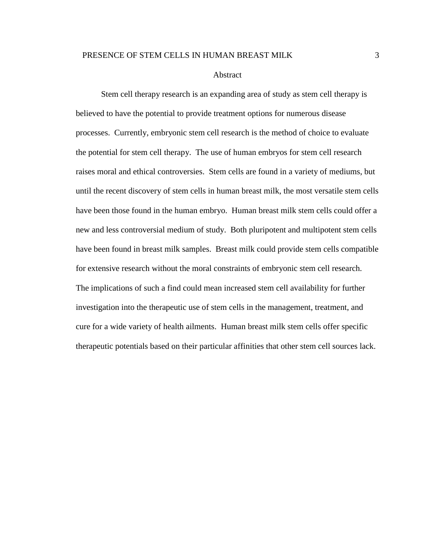## Abstract

Stem cell therapy research is an expanding area of study as stem cell therapy is believed to have the potential to provide treatment options for numerous disease processes. Currently, embryonic stem cell research is the method of choice to evaluate the potential for stem cell therapy. The use of human embryos for stem cell research raises moral and ethical controversies. Stem cells are found in a variety of mediums, but until the recent discovery of stem cells in human breast milk, the most versatile stem cells have been those found in the human embryo. Human breast milk stem cells could offer a new and less controversial medium of study. Both pluripotent and multipotent stem cells have been found in breast milk samples. Breast milk could provide stem cells compatible for extensive research without the moral constraints of embryonic stem cell research. The implications of such a find could mean increased stem cell availability for further investigation into the therapeutic use of stem cells in the management, treatment, and cure for a wide variety of health ailments. Human breast milk stem cells offer specific therapeutic potentials based on their particular affinities that other stem cell sources lack.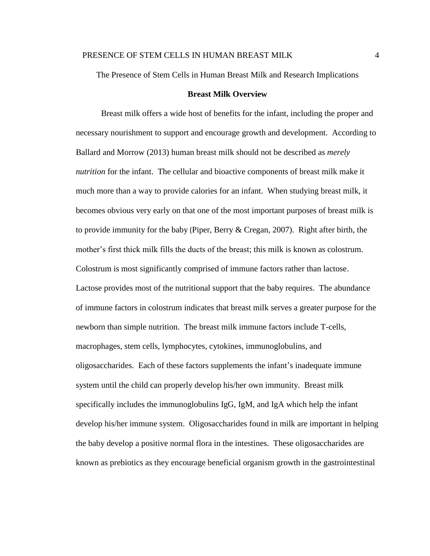The Presence of Stem Cells in Human Breast Milk and Research Implications

# **Breast Milk Overview**

Breast milk offers a wide host of benefits for the infant, including the proper and necessary nourishment to support and encourage growth and development. According to Ballard and Morrow (2013) human breast milk should not be described as *merely nutrition* for the infant. The cellular and bioactive components of breast milk make it much more than a way to provide calories for an infant. When studying breast milk, it becomes obvious very early on that one of the most important purposes of breast milk is to provide immunity for the baby (Piper, Berry & Cregan, 2007). Right after birth, the mother's first thick milk fills the ducts of the breast; this milk is known as colostrum. Colostrum is most significantly comprised of immune factors rather than lactose. Lactose provides most of the nutritional support that the baby requires. The abundance of immune factors in colostrum indicates that breast milk serves a greater purpose for the newborn than simple nutrition. The breast milk immune factors include T-cells, macrophages, stem cells, lymphocytes, cytokines, immunoglobulins, and oligosaccharides. Each of these factors supplements the infant's inadequate immune system until the child can properly develop his/her own immunity. Breast milk specifically includes the immunoglobulins IgG, IgM, and IgA which help the infant develop his/her immune system. Oligosaccharides found in milk are important in helping the baby develop a positive normal flora in the intestines. These oligosaccharides are known as prebiotics as they encourage beneficial organism growth in the gastrointestinal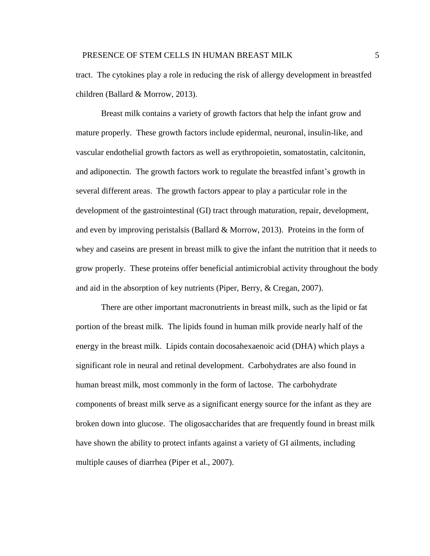tract. The cytokines play a role in reducing the risk of allergy development in breastfed children (Ballard & Morrow, 2013).

Breast milk contains a variety of growth factors that help the infant grow and mature properly. These growth factors include epidermal, neuronal, insulin-like, and vascular endothelial growth factors as well as erythropoietin, somatostatin, calcitonin, and adiponectin. The growth factors work to regulate the breastfed infant's growth in several different areas. The growth factors appear to play a particular role in the development of the gastrointestinal (GI) tract through maturation, repair, development, and even by improving peristalsis (Ballard & Morrow, 2013). Proteins in the form of whey and caseins are present in breast milk to give the infant the nutrition that it needs to grow properly. These proteins offer beneficial antimicrobial activity throughout the body and aid in the absorption of key nutrients (Piper, Berry, & Cregan, 2007).

There are other important macronutrients in breast milk, such as the lipid or fat portion of the breast milk. The lipids found in human milk provide nearly half of the energy in the breast milk. Lipids contain docosahexaenoic acid (DHA) which plays a significant role in neural and retinal development. Carbohydrates are also found in human breast milk, most commonly in the form of lactose. The carbohydrate components of breast milk serve as a significant energy source for the infant as they are broken down into glucose. The oligosaccharides that are frequently found in breast milk have shown the ability to protect infants against a variety of GI ailments, including multiple causes of diarrhea (Piper et al., 2007).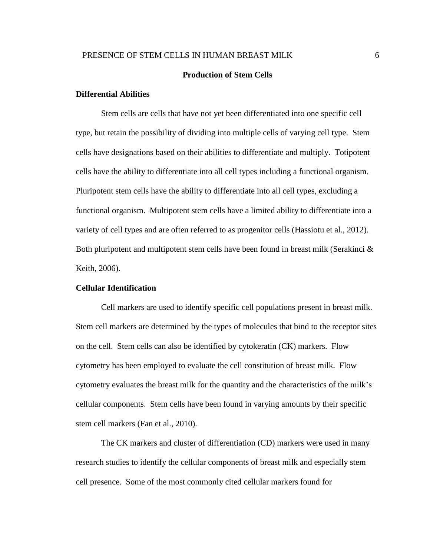# **Production of Stem Cells**

# **Differential Abilities**

Stem cells are cells that have not yet been differentiated into one specific cell type, but retain the possibility of dividing into multiple cells of varying cell type. Stem cells have designations based on their abilities to differentiate and multiply. Totipotent cells have the ability to differentiate into all cell types including a functional organism. Pluripotent stem cells have the ability to differentiate into all cell types, excluding a functional organism. Multipotent stem cells have a limited ability to differentiate into a variety of cell types and are often referred to as progenitor cells (Hassiotu et al., 2012). Both pluripotent and multipotent stem cells have been found in breast milk (Serakinci & Keith, 2006).

# **Cellular Identification**

Cell markers are used to identify specific cell populations present in breast milk. Stem cell markers are determined by the types of molecules that bind to the receptor sites on the cell. Stem cells can also be identified by cytokeratin (CK) markers. Flow cytometry has been employed to evaluate the cell constitution of breast milk. Flow cytometry evaluates the breast milk for the quantity and the characteristics of the milk's cellular components. Stem cells have been found in varying amounts by their specific stem cell markers (Fan et al., 2010).

The CK markers and cluster of differentiation (CD) markers were used in many research studies to identify the cellular components of breast milk and especially stem cell presence. Some of the most commonly cited cellular markers found for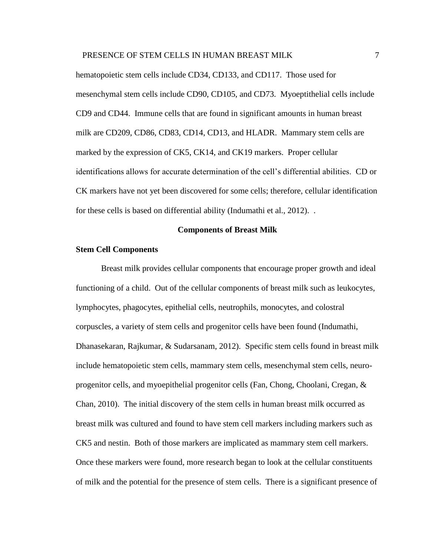hematopoietic stem cells include CD34, CD133, and CD117. Those used for mesenchymal stem cells include CD90, CD105, and CD73. Myoeptithelial cells include CD9 and CD44. Immune cells that are found in significant amounts in human breast milk are CD209, CD86, CD83, CD14, CD13, and HLADR. Mammary stem cells are marked by the expression of CK5, CK14, and CK19 markers. Proper cellular identifications allows for accurate determination of the cell's differential abilities. CD or CK markers have not yet been discovered for some cells; therefore, cellular identification for these cells is based on differential ability (Indumathi et al., 2012). .

#### **Components of Breast Milk**

# **Stem Cell Components**

Breast milk provides cellular components that encourage proper growth and ideal functioning of a child. Out of the cellular components of breast milk such as leukocytes, lymphocytes, phagocytes, epithelial cells, neutrophils, monocytes, and colostral corpuscles, a variety of stem cells and progenitor cells have been found (Indumathi, Dhanasekaran, Rajkumar, & Sudarsanam, 2012). Specific stem cells found in breast milk include hematopoietic stem cells, mammary stem cells, mesenchymal stem cells, neuroprogenitor cells, and myoepithelial progenitor cells (Fan, Chong, Choolani, Cregan, & Chan, 2010). The initial discovery of the stem cells in human breast milk occurred as breast milk was cultured and found to have stem cell markers including markers such as CK5 and nestin. Both of those markers are implicated as mammary stem cell markers. Once these markers were found, more research began to look at the cellular constituents of milk and the potential for the presence of stem cells. There is a significant presence of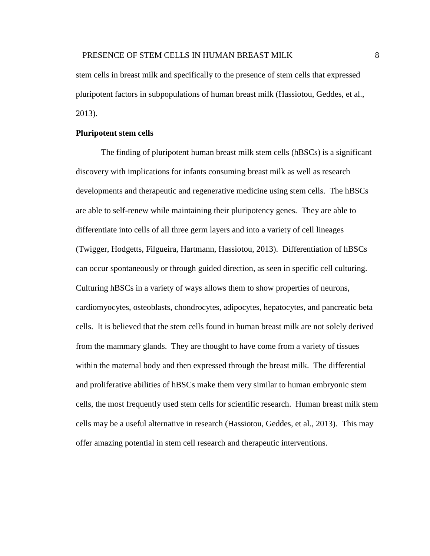stem cells in breast milk and specifically to the presence of stem cells that expressed pluripotent factors in subpopulations of human breast milk (Hassiotou, Geddes, et al., 2013).

## **Pluripotent stem cells**

The finding of pluripotent human breast milk stem cells (hBSCs) is a significant discovery with implications for infants consuming breast milk as well as research developments and therapeutic and regenerative medicine using stem cells. The hBSCs are able to self-renew while maintaining their pluripotency genes. They are able to differentiate into cells of all three germ layers and into a variety of cell lineages (Twigger, Hodgetts, Filgueira, Hartmann, Hassiotou, 2013). Differentiation of hBSCs can occur spontaneously or through guided direction, as seen in specific cell culturing. Culturing hBSCs in a variety of ways allows them to show properties of neurons, cardiomyocytes, osteoblasts, chondrocytes, adipocytes, hepatocytes, and pancreatic beta cells. It is believed that the stem cells found in human breast milk are not solely derived from the mammary glands. They are thought to have come from a variety of tissues within the maternal body and then expressed through the breast milk. The differential and proliferative abilities of hBSCs make them very similar to human embryonic stem cells, the most frequently used stem cells for scientific research. Human breast milk stem cells may be a useful alternative in research (Hassiotou, Geddes, et al., 2013). This may offer amazing potential in stem cell research and therapeutic interventions.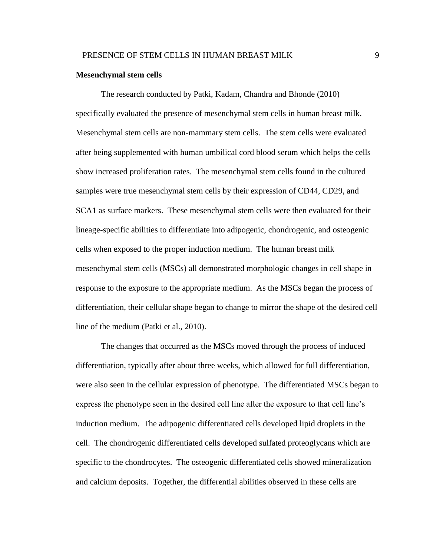# **Mesenchymal stem cells**

The research conducted by Patki, Kadam, Chandra and Bhonde (2010) specifically evaluated the presence of mesenchymal stem cells in human breast milk. Mesenchymal stem cells are non-mammary stem cells. The stem cells were evaluated after being supplemented with human umbilical cord blood serum which helps the cells show increased proliferation rates. The mesenchymal stem cells found in the cultured samples were true mesenchymal stem cells by their expression of CD44, CD29, and SCA1 as surface markers. These mesenchymal stem cells were then evaluated for their lineage-specific abilities to differentiate into adipogenic, chondrogenic, and osteogenic cells when exposed to the proper induction medium. The human breast milk mesenchymal stem cells (MSCs) all demonstrated morphologic changes in cell shape in response to the exposure to the appropriate medium. As the MSCs began the process of differentiation, their cellular shape began to change to mirror the shape of the desired cell line of the medium (Patki et al., 2010).

The changes that occurred as the MSCs moved through the process of induced differentiation, typically after about three weeks, which allowed for full differentiation, were also seen in the cellular expression of phenotype. The differentiated MSCs began to express the phenotype seen in the desired cell line after the exposure to that cell line's induction medium. The adipogenic differentiated cells developed lipid droplets in the cell. The chondrogenic differentiated cells developed sulfated proteoglycans which are specific to the chondrocytes. The osteogenic differentiated cells showed mineralization and calcium deposits. Together, the differential abilities observed in these cells are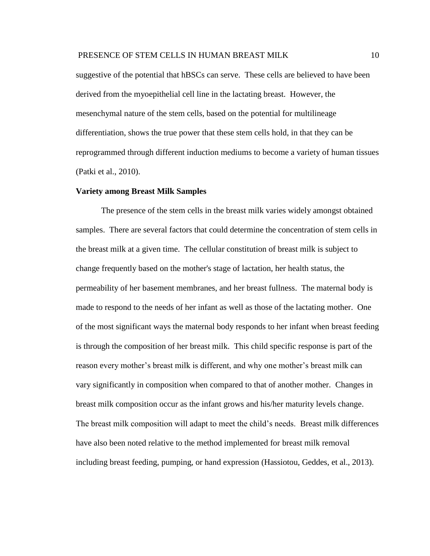suggestive of the potential that hBSCs can serve. These cells are believed to have been derived from the myoepithelial cell line in the lactating breast. However, the mesenchymal nature of the stem cells, based on the potential for multilineage differentiation, shows the true power that these stem cells hold, in that they can be reprogrammed through different induction mediums to become a variety of human tissues (Patki et al., 2010).

#### **Variety among Breast Milk Samples**

The presence of the stem cells in the breast milk varies widely amongst obtained samples. There are several factors that could determine the concentration of stem cells in the breast milk at a given time. The cellular constitution of breast milk is subject to change frequently based on the mother's stage of lactation, her health status, the permeability of her basement membranes, and her breast fullness. The maternal body is made to respond to the needs of her infant as well as those of the lactating mother. One of the most significant ways the maternal body responds to her infant when breast feeding is through the composition of her breast milk. This child specific response is part of the reason every mother's breast milk is different, and why one mother's breast milk can vary significantly in composition when compared to that of another mother. Changes in breast milk composition occur as the infant grows and his/her maturity levels change. The breast milk composition will adapt to meet the child's needs. Breast milk differences have also been noted relative to the method implemented for breast milk removal including breast feeding, pumping, or hand expression (Hassiotou, Geddes, et al., 2013).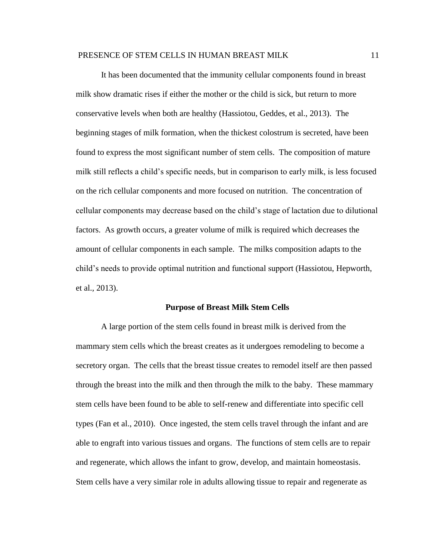It has been documented that the immunity cellular components found in breast milk show dramatic rises if either the mother or the child is sick, but return to more conservative levels when both are healthy (Hassiotou, Geddes, et al., 2013). The beginning stages of milk formation, when the thickest colostrum is secreted, have been found to express the most significant number of stem cells. The composition of mature milk still reflects a child's specific needs, but in comparison to early milk, is less focused on the rich cellular components and more focused on nutrition. The concentration of cellular components may decrease based on the child's stage of lactation due to dilutional factors. As growth occurs, a greater volume of milk is required which decreases the amount of cellular components in each sample. The milks composition adapts to the child's needs to provide optimal nutrition and functional support (Hassiotou, Hepworth, et al., 2013).

#### **Purpose of Breast Milk Stem Cells**

A large portion of the stem cells found in breast milk is derived from the mammary stem cells which the breast creates as it undergoes remodeling to become a secretory organ. The cells that the breast tissue creates to remodel itself are then passed through the breast into the milk and then through the milk to the baby. These mammary stem cells have been found to be able to self-renew and differentiate into specific cell types (Fan et al., 2010). Once ingested, the stem cells travel through the infant and are able to engraft into various tissues and organs. The functions of stem cells are to repair and regenerate, which allows the infant to grow, develop, and maintain homeostasis. Stem cells have a very similar role in adults allowing tissue to repair and regenerate as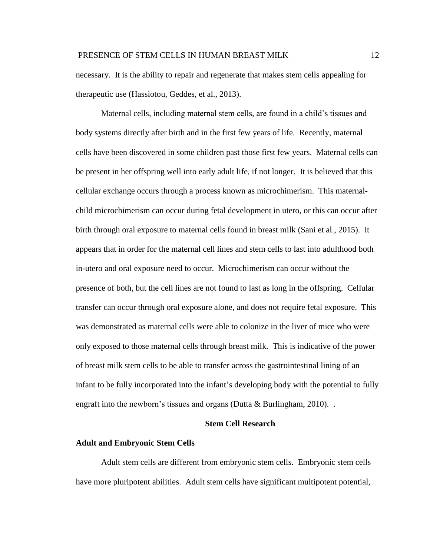necessary. It is the ability to repair and regenerate that makes stem cells appealing for therapeutic use (Hassiotou, Geddes, et al., 2013).

Maternal cells, including maternal stem cells, are found in a child's tissues and body systems directly after birth and in the first few years of life. Recently, maternal cells have been discovered in some children past those first few years. Maternal cells can be present in her offspring well into early adult life, if not longer. It is believed that this cellular exchange occurs through a process known as microchimerism. This maternalchild microchimerism can occur during fetal development in utero, or this can occur after birth through oral exposure to maternal cells found in breast milk (Sani et al., 2015). It appears that in order for the maternal cell lines and stem cells to last into adulthood both in-utero and oral exposure need to occur. Microchimerism can occur without the presence of both, but the cell lines are not found to last as long in the offspring. Cellular transfer can occur through oral exposure alone, and does not require fetal exposure. This was demonstrated as maternal cells were able to colonize in the liver of mice who were only exposed to those maternal cells through breast milk. This is indicative of the power of breast milk stem cells to be able to transfer across the gastrointestinal lining of an infant to be fully incorporated into the infant's developing body with the potential to fully engraft into the newborn's tissues and organs (Dutta  $\&$  Burlingham, 2010)...

# **Stem Cell Research**

## **Adult and Embryonic Stem Cells**

Adult stem cells are different from embryonic stem cells. Embryonic stem cells have more pluripotent abilities. Adult stem cells have significant multipotent potential,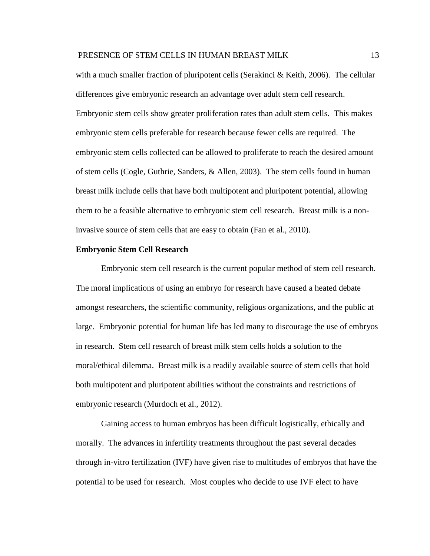with a much smaller fraction of pluripotent cells (Serakinci & Keith, 2006). The cellular differences give embryonic research an advantage over adult stem cell research. Embryonic stem cells show greater proliferation rates than adult stem cells. This makes embryonic stem cells preferable for research because fewer cells are required. The embryonic stem cells collected can be allowed to proliferate to reach the desired amount of stem cells (Cogle, Guthrie, Sanders, & Allen, 2003). The stem cells found in human breast milk include cells that have both multipotent and pluripotent potential, allowing them to be a feasible alternative to embryonic stem cell research. Breast milk is a noninvasive source of stem cells that are easy to obtain (Fan et al., 2010).

# **Embryonic Stem Cell Research**

Embryonic stem cell research is the current popular method of stem cell research. The moral implications of using an embryo for research have caused a heated debate amongst researchers, the scientific community, religious organizations, and the public at large. Embryonic potential for human life has led many to discourage the use of embryos in research. Stem cell research of breast milk stem cells holds a solution to the moral/ethical dilemma. Breast milk is a readily available source of stem cells that hold both multipotent and pluripotent abilities without the constraints and restrictions of embryonic research (Murdoch et al., 2012).

Gaining access to human embryos has been difficult logistically, ethically and morally. The advances in infertility treatments throughout the past several decades through in-vitro fertilization (IVF) have given rise to multitudes of embryos that have the potential to be used for research. Most couples who decide to use IVF elect to have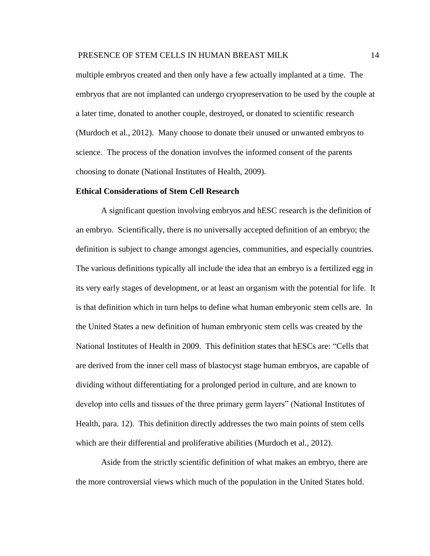multiple embryos created and then only have a few actually implanted at a time. The embryos that are not implanted can undergo cryopreservation to be used by the couple at a later time, donated to another couple, destroyed, or donated to scientific research (Murdoch et al., 2012). Many choose to donate their unused or unwanted embryos to science. The process of the donation involves the informed consent of the parents choosing to donate (National Institutes of Health, 2009).

#### **Ethical Considerations of Stem Cell Research**

A significant question involving embryos and hESC research is the definition of an embryo. Scientifically, there is no universally accepted definition of an embryo; the definition is subject to change amongst agencies, communities, and especially countries. The various definitions typically all include the idea that an embryo is a fertilized egg in its very early stages of development, or at least an organism with the potential for life. It is that definition which in turn helps to define what human embryonic stem cells are. In the United States a new definition of human embryonic stem cells was created by the National Institutes of Health in 2009. This definition states that hESCs are: "Cells that are derived from the inner cell mass of blastocyst stage human embryos, are capable of dividing without differentiating for a prolonged period in culture, and are known to develop into cells and tissues of the three primary germ layers" (National Institutes of Health, para. 12). This definition directly addresses the two main points of stem cells which are their differential and proliferative abilities (Murdoch et al., 2012).

Aside from the strictly scientific definition of what makes an embryo, there are the more controversial views which much of the population in the United States hold.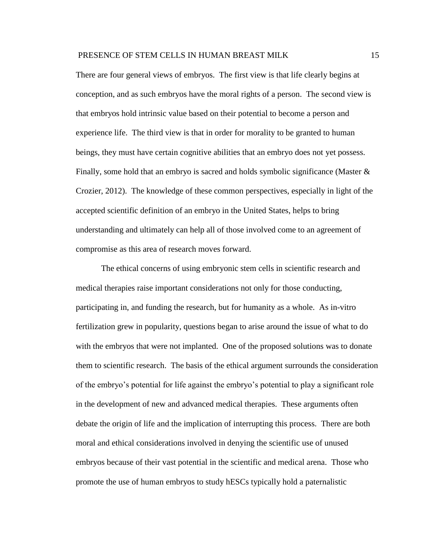There are four general views of embryos. The first view is that life clearly begins at conception, and as such embryos have the moral rights of a person. The second view is that embryos hold intrinsic value based on their potential to become a person and experience life. The third view is that in order for morality to be granted to human beings, they must have certain cognitive abilities that an embryo does not yet possess. Finally, some hold that an embryo is sacred and holds symbolic significance (Master  $\&$ Crozier, 2012). The knowledge of these common perspectives, especially in light of the accepted scientific definition of an embryo in the United States, helps to bring understanding and ultimately can help all of those involved come to an agreement of compromise as this area of research moves forward.

The ethical concerns of using embryonic stem cells in scientific research and medical therapies raise important considerations not only for those conducting, participating in, and funding the research, but for humanity as a whole. As in-vitro fertilization grew in popularity, questions began to arise around the issue of what to do with the embryos that were not implanted. One of the proposed solutions was to donate them to scientific research. The basis of the ethical argument surrounds the consideration of the embryo's potential for life against the embryo's potential to play a significant role in the development of new and advanced medical therapies. These arguments often debate the origin of life and the implication of interrupting this process. There are both moral and ethical considerations involved in denying the scientific use of unused embryos because of their vast potential in the scientific and medical arena. Those who promote the use of human embryos to study hESCs typically hold a paternalistic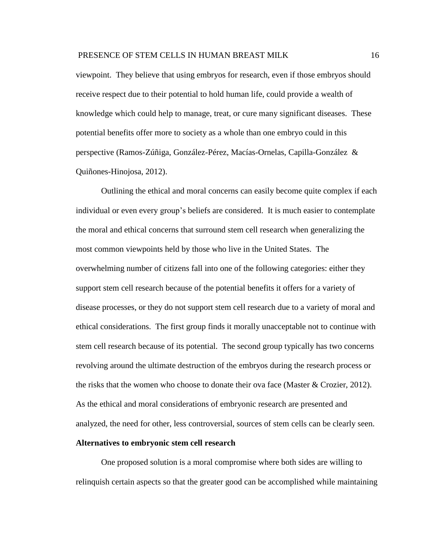viewpoint. They believe that using embryos for research, even if those embryos should receive respect due to their potential to hold human life, could provide a wealth of knowledge which could help to manage, treat, or cure many significant diseases. These potential benefits offer more to society as a whole than one embryo could in this perspective (Ramos-Zúñiga, González-Pérez, Macías-Ornelas, Capilla-González & Quiñones-Hinojosa, 2012).

Outlining the ethical and moral concerns can easily become quite complex if each individual or even every group's beliefs are considered. It is much easier to contemplate the moral and ethical concerns that surround stem cell research when generalizing the most common viewpoints held by those who live in the United States. The overwhelming number of citizens fall into one of the following categories: either they support stem cell research because of the potential benefits it offers for a variety of disease processes, or they do not support stem cell research due to a variety of moral and ethical considerations. The first group finds it morally unacceptable not to continue with stem cell research because of its potential. The second group typically has two concerns revolving around the ultimate destruction of the embryos during the research process or the risks that the women who choose to donate their ova face (Master & Crozier, 2012). As the ethical and moral considerations of embryonic research are presented and analyzed, the need for other, less controversial, sources of stem cells can be clearly seen.

# **Alternatives to embryonic stem cell research**

One proposed solution is a moral compromise where both sides are willing to relinquish certain aspects so that the greater good can be accomplished while maintaining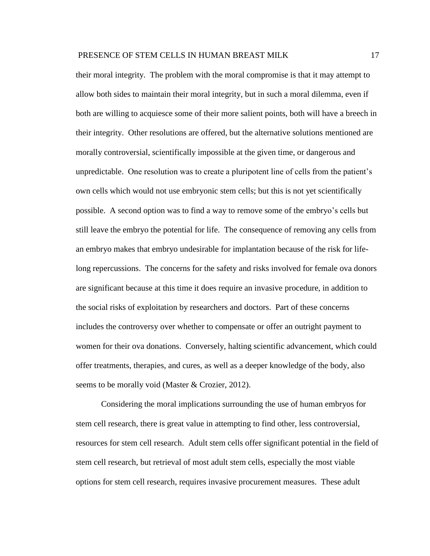their moral integrity. The problem with the moral compromise is that it may attempt to allow both sides to maintain their moral integrity, but in such a moral dilemma, even if both are willing to acquiesce some of their more salient points, both will have a breech in their integrity. Other resolutions are offered, but the alternative solutions mentioned are morally controversial, scientifically impossible at the given time, or dangerous and unpredictable. One resolution was to create a pluripotent line of cells from the patient's own cells which would not use embryonic stem cells; but this is not yet scientifically possible. A second option was to find a way to remove some of the embryo's cells but still leave the embryo the potential for life. The consequence of removing any cells from an embryo makes that embryo undesirable for implantation because of the risk for lifelong repercussions. The concerns for the safety and risks involved for female ova donors are significant because at this time it does require an invasive procedure, in addition to the social risks of exploitation by researchers and doctors. Part of these concerns includes the controversy over whether to compensate or offer an outright payment to women for their ova donations. Conversely, halting scientific advancement, which could offer treatments, therapies, and cures, as well as a deeper knowledge of the body, also seems to be morally void (Master & Crozier, 2012).

Considering the moral implications surrounding the use of human embryos for stem cell research, there is great value in attempting to find other, less controversial, resources for stem cell research. Adult stem cells offer significant potential in the field of stem cell research, but retrieval of most adult stem cells, especially the most viable options for stem cell research, requires invasive procurement measures. These adult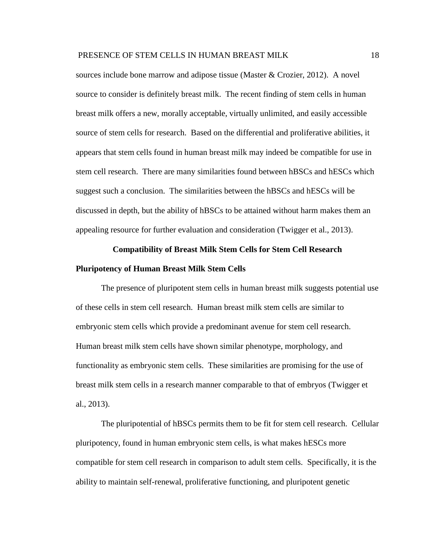sources include bone marrow and adipose tissue (Master & Crozier, 2012). A novel source to consider is definitely breast milk. The recent finding of stem cells in human breast milk offers a new, morally acceptable, virtually unlimited, and easily accessible source of stem cells for research. Based on the differential and proliferative abilities, it appears that stem cells found in human breast milk may indeed be compatible for use in stem cell research. There are many similarities found between hBSCs and hESCs which suggest such a conclusion. The similarities between the hBSCs and hESCs will be discussed in depth, but the ability of hBSCs to be attained without harm makes them an appealing resource for further evaluation and consideration (Twigger et al., 2013).

# **Compatibility of Breast Milk Stem Cells for Stem Cell Research Pluripotency of Human Breast Milk Stem Cells**

The presence of pluripotent stem cells in human breast milk suggests potential use of these cells in stem cell research. Human breast milk stem cells are similar to embryonic stem cells which provide a predominant avenue for stem cell research. Human breast milk stem cells have shown similar phenotype, morphology, and functionality as embryonic stem cells. These similarities are promising for the use of breast milk stem cells in a research manner comparable to that of embryos (Twigger et al., 2013).

The pluripotential of hBSCs permits them to be fit for stem cell research. Cellular pluripotency, found in human embryonic stem cells, is what makes hESCs more compatible for stem cell research in comparison to adult stem cells. Specifically, it is the ability to maintain self-renewal, proliferative functioning, and pluripotent genetic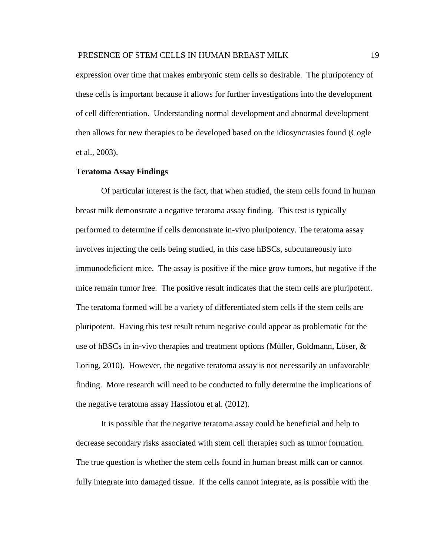expression over time that makes embryonic stem cells so desirable. The pluripotency of these cells is important because it allows for further investigations into the development of cell differentiation. Understanding normal development and abnormal development then allows for new therapies to be developed based on the idiosyncrasies found (Cogle et al., 2003).

# **Teratoma Assay Findings**

Of particular interest is the fact, that when studied, the stem cells found in human breast milk demonstrate a negative teratoma assay finding. This test is typically performed to determine if cells demonstrate in-vivo pluripotency. The teratoma assay involves injecting the cells being studied, in this case hBSCs, subcutaneously into immunodeficient mice. The assay is positive if the mice grow tumors, but negative if the mice remain tumor free. The positive result indicates that the stem cells are pluripotent. The teratoma formed will be a variety of differentiated stem cells if the stem cells are pluripotent. Having this test result return negative could appear as problematic for the use of hBSCs in in-vivo therapies and treatment options (Müller, Goldmann, Löser, & Loring, 2010). However, the negative teratoma assay is not necessarily an unfavorable finding. More research will need to be conducted to fully determine the implications of the negative teratoma assay Hassiotou et al. (2012).

It is possible that the negative teratoma assay could be beneficial and help to decrease secondary risks associated with stem cell therapies such as tumor formation. The true question is whether the stem cells found in human breast milk can or cannot fully integrate into damaged tissue. If the cells cannot integrate, as is possible with the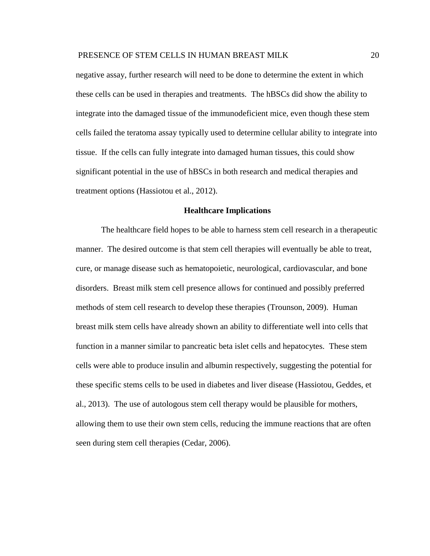negative assay, further research will need to be done to determine the extent in which these cells can be used in therapies and treatments. The hBSCs did show the ability to integrate into the damaged tissue of the immunodeficient mice, even though these stem cells failed the teratoma assay typically used to determine cellular ability to integrate into tissue. If the cells can fully integrate into damaged human tissues, this could show significant potential in the use of hBSCs in both research and medical therapies and treatment options (Hassiotou et al., 2012).

# **Healthcare Implications**

The healthcare field hopes to be able to harness stem cell research in a therapeutic manner. The desired outcome is that stem cell therapies will eventually be able to treat, cure, or manage disease such as hematopoietic, neurological, cardiovascular, and bone disorders. Breast milk stem cell presence allows for continued and possibly preferred methods of stem cell research to develop these therapies (Trounson, 2009). Human breast milk stem cells have already shown an ability to differentiate well into cells that function in a manner similar to pancreatic beta islet cells and hepatocytes. These stem cells were able to produce insulin and albumin respectively, suggesting the potential for these specific stems cells to be used in diabetes and liver disease (Hassiotou, Geddes, et al., 2013). The use of autologous stem cell therapy would be plausible for mothers, allowing them to use their own stem cells, reducing the immune reactions that are often seen during stem cell therapies (Cedar, 2006).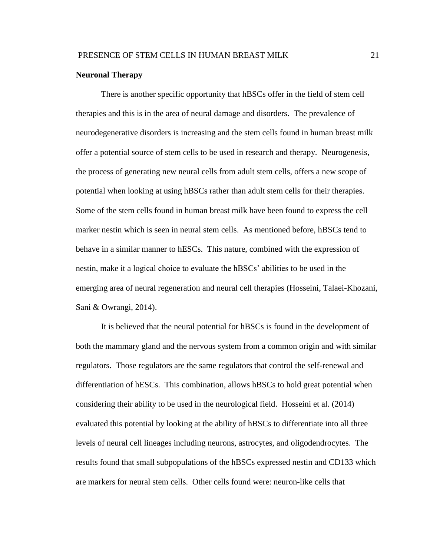# **Neuronal Therapy**

There is another specific opportunity that hBSCs offer in the field of stem cell therapies and this is in the area of neural damage and disorders. The prevalence of neurodegenerative disorders is increasing and the stem cells found in human breast milk offer a potential source of stem cells to be used in research and therapy. Neurogenesis, the process of generating new neural cells from adult stem cells, offers a new scope of potential when looking at using hBSCs rather than adult stem cells for their therapies. Some of the stem cells found in human breast milk have been found to express the cell marker nestin which is seen in neural stem cells. As mentioned before, hBSCs tend to behave in a similar manner to hESCs. This nature, combined with the expression of nestin, make it a logical choice to evaluate the hBSCs' abilities to be used in the emerging area of neural regeneration and neural cell therapies (Hosseini, Talaei-Khozani, Sani & Owrangi, 2014).

It is believed that the neural potential for hBSCs is found in the development of both the mammary gland and the nervous system from a common origin and with similar regulators. Those regulators are the same regulators that control the self-renewal and differentiation of hESCs. This combination, allows hBSCs to hold great potential when considering their ability to be used in the neurological field. Hosseini et al. (2014) evaluated this potential by looking at the ability of hBSCs to differentiate into all three levels of neural cell lineages including neurons, astrocytes, and oligodendrocytes. The results found that small subpopulations of the hBSCs expressed nestin and CD133 which are markers for neural stem cells. Other cells found were: neuron-like cells that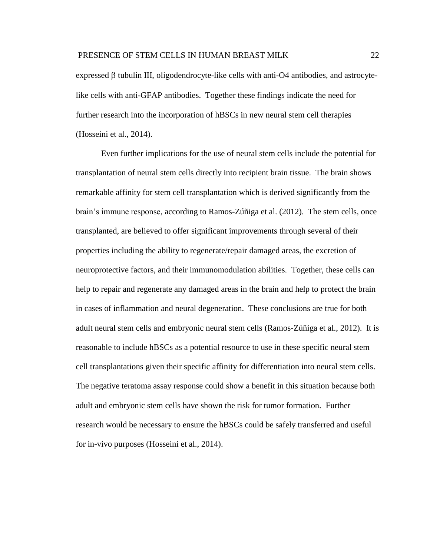expressed  $\beta$  tubulin III, oligodendrocyte-like cells with anti-O4 antibodies, and astrocytelike cells with anti-GFAP antibodies. Together these findings indicate the need for further research into the incorporation of hBSCs in new neural stem cell therapies (Hosseini et al., 2014).

Even further implications for the use of neural stem cells include the potential for transplantation of neural stem cells directly into recipient brain tissue. The brain shows remarkable affinity for stem cell transplantation which is derived significantly from the brain's immune response, according to Ramos-Zúñiga et al. (2012). The stem cells, once transplanted, are believed to offer significant improvements through several of their properties including the ability to regenerate/repair damaged areas, the excretion of neuroprotective factors, and their immunomodulation abilities. Together, these cells can help to repair and regenerate any damaged areas in the brain and help to protect the brain in cases of inflammation and neural degeneration. These conclusions are true for both adult neural stem cells and embryonic neural stem cells (Ramos-Zúñiga et al., 2012). It is reasonable to include hBSCs as a potential resource to use in these specific neural stem cell transplantations given their specific affinity for differentiation into neural stem cells. The negative teratoma assay response could show a benefit in this situation because both adult and embryonic stem cells have shown the risk for tumor formation. Further research would be necessary to ensure the hBSCs could be safely transferred and useful for in-vivo purposes (Hosseini et al., 2014).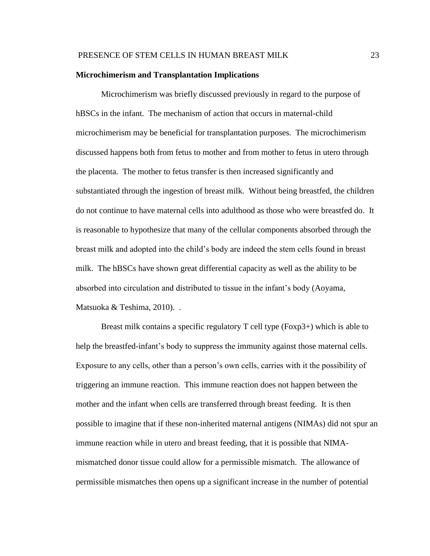# **Microchimerism and Transplantation Implications**

Microchimerism was briefly discussed previously in regard to the purpose of hBSCs in the infant. The mechanism of action that occurs in maternal-child microchimerism may be beneficial for transplantation purposes. The microchimerism discussed happens both from fetus to mother and from mother to fetus in utero through the placenta. The mother to fetus transfer is then increased significantly and substantiated through the ingestion of breast milk. Without being breastfed, the children do not continue to have maternal cells into adulthood as those who were breastfed do. It is reasonable to hypothesize that many of the cellular components absorbed through the breast milk and adopted into the child's body are indeed the stem cells found in breast milk. The hBSCs have shown great differential capacity as well as the ability to be absorbed into circulation and distributed to tissue in the infant's body (Aoyama, Matsuoka & Teshima, 2010). .

Breast milk contains a specific regulatory T cell type (Foxp3+) which is able to help the breastfed-infant's body to suppress the immunity against those maternal cells. Exposure to any cells, other than a person's own cells, carries with it the possibility of triggering an immune reaction. This immune reaction does not happen between the mother and the infant when cells are transferred through breast feeding. It is then possible to imagine that if these non-inherited maternal antigens (NIMAs) did not spur an immune reaction while in utero and breast feeding, that it is possible that NIMAmismatched donor tissue could allow for a permissible mismatch. The allowance of permissible mismatches then opens up a significant increase in the number of potential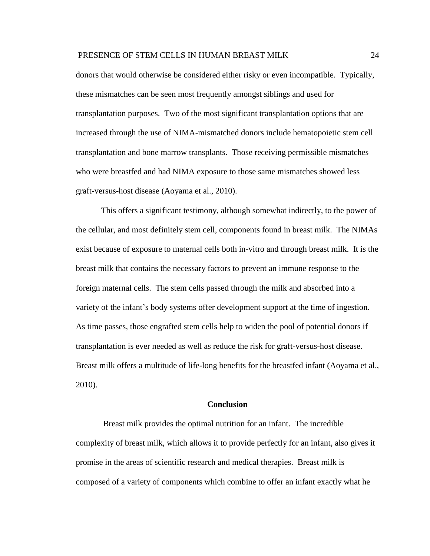donors that would otherwise be considered either risky or even incompatible. Typically, these mismatches can be seen most frequently amongst siblings and used for transplantation purposes. Two of the most significant transplantation options that are increased through the use of NIMA-mismatched donors include hematopoietic stem cell transplantation and bone marrow transplants. Those receiving permissible mismatches who were breastfed and had NIMA exposure to those same mismatches showed less graft-versus-host disease (Aoyama et al., 2010).

This offers a significant testimony, although somewhat indirectly, to the power of the cellular, and most definitely stem cell, components found in breast milk. The NIMAs exist because of exposure to maternal cells both in-vitro and through breast milk. It is the breast milk that contains the necessary factors to prevent an immune response to the foreign maternal cells. The stem cells passed through the milk and absorbed into a variety of the infant's body systems offer development support at the time of ingestion. As time passes, those engrafted stem cells help to widen the pool of potential donors if transplantation is ever needed as well as reduce the risk for graft-versus-host disease. Breast milk offers a multitude of life-long benefits for the breastfed infant (Aoyama et al., 2010).

# **Conclusion**

Breast milk provides the optimal nutrition for an infant. The incredible complexity of breast milk, which allows it to provide perfectly for an infant, also gives it promise in the areas of scientific research and medical therapies. Breast milk is composed of a variety of components which combine to offer an infant exactly what he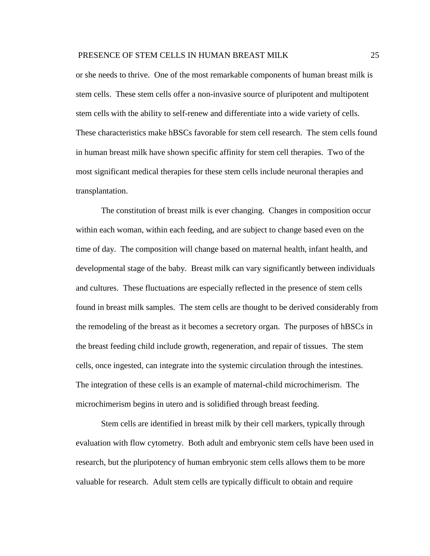or she needs to thrive. One of the most remarkable components of human breast milk is stem cells. These stem cells offer a non-invasive source of pluripotent and multipotent stem cells with the ability to self-renew and differentiate into a wide variety of cells. These characteristics make hBSCs favorable for stem cell research. The stem cells found in human breast milk have shown specific affinity for stem cell therapies. Two of the most significant medical therapies for these stem cells include neuronal therapies and transplantation.

The constitution of breast milk is ever changing. Changes in composition occur within each woman, within each feeding, and are subject to change based even on the time of day. The composition will change based on maternal health, infant health, and developmental stage of the baby. Breast milk can vary significantly between individuals and cultures. These fluctuations are especially reflected in the presence of stem cells found in breast milk samples. The stem cells are thought to be derived considerably from the remodeling of the breast as it becomes a secretory organ. The purposes of hBSCs in the breast feeding child include growth, regeneration, and repair of tissues. The stem cells, once ingested, can integrate into the systemic circulation through the intestines. The integration of these cells is an example of maternal-child microchimerism. The microchimerism begins in utero and is solidified through breast feeding.

Stem cells are identified in breast milk by their cell markers, typically through evaluation with flow cytometry. Both adult and embryonic stem cells have been used in research, but the pluripotency of human embryonic stem cells allows them to be more valuable for research. Adult stem cells are typically difficult to obtain and require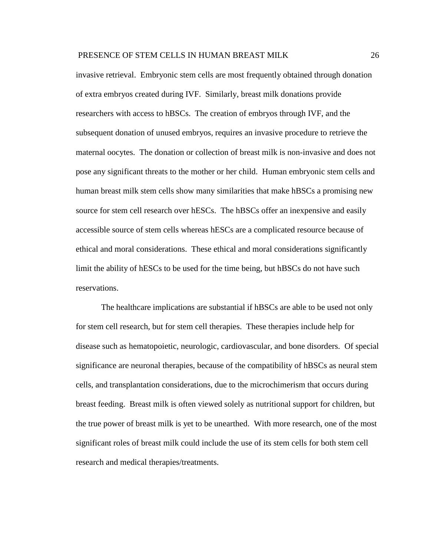invasive retrieval. Embryonic stem cells are most frequently obtained through donation of extra embryos created during IVF. Similarly, breast milk donations provide researchers with access to hBSCs. The creation of embryos through IVF, and the subsequent donation of unused embryos, requires an invasive procedure to retrieve the maternal oocytes. The donation or collection of breast milk is non-invasive and does not pose any significant threats to the mother or her child. Human embryonic stem cells and human breast milk stem cells show many similarities that make hBSCs a promising new source for stem cell research over hESCs. The hBSCs offer an inexpensive and easily accessible source of stem cells whereas hESCs are a complicated resource because of ethical and moral considerations. These ethical and moral considerations significantly limit the ability of hESCs to be used for the time being, but hBSCs do not have such reservations.

The healthcare implications are substantial if hBSCs are able to be used not only for stem cell research, but for stem cell therapies. These therapies include help for disease such as hematopoietic, neurologic, cardiovascular, and bone disorders. Of special significance are neuronal therapies, because of the compatibility of hBSCs as neural stem cells, and transplantation considerations, due to the microchimerism that occurs during breast feeding. Breast milk is often viewed solely as nutritional support for children, but the true power of breast milk is yet to be unearthed. With more research, one of the most significant roles of breast milk could include the use of its stem cells for both stem cell research and medical therapies/treatments.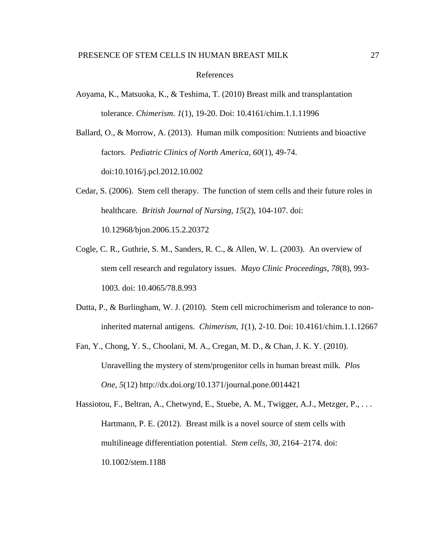#### References

- Aoyama, K., Matsuoka, K., & Teshima, T. (2010) Breast milk and transplantation tolerance. *Chimerism. 1*(1), 19-20. Doi: 10.4161/chim.1.1.11996
- Ballard, O., & Morrow, A. (2013). Human milk composition: Nutrients and bioactive factors. *Pediatric Clinics of North America, 60*(1), 49-74. doi:10.1016/j.pcl.2012.10.002
- Cedar, S. (2006). Stem cell therapy. The function of stem cells and their future roles in healthcare. *British Journal of Nursing, 15*(2), 104-107. doi: 10.12968/bjon.2006.15.2.20372
- Cogle, C. R., Guthrie, S. M., Sanders, R. C., & Allen, W. L. (2003). An overview of stem cell research and regulatory issues. *Mayo Clinic Proceedings, 78*(8), 993- 1003. doi: 10.4065/78.8.993
- Dutta, P., & Burlingham, W. J. (2010). Stem cell microchimerism and tolerance to noninherited maternal antigens. *Chimerism, 1*(1), 2-10. Doi: 10.4161/chim.1.1.12667
- Fan, Y., Chong, Y. S., Choolani, M. A., Cregan, M. D., & Chan, J. K. Y. (2010). Unravelling the mystery of stem/progenitor cells in human breast milk. *Plos One, 5*(12)<http://dx.doi.org/10.1371/journal.pone.0014421>

Hassiotou, F., Beltran, A., Chetwynd, E., Stuebe, A. M., Twigger, A.J., Metzger, P., ... Hartmann, P. E. (2012). Breast milk is a novel source of stem cells with multilineage differentiation potential. *Stem cells, 30,* 2164–2174. doi: 10.1002/stem.1188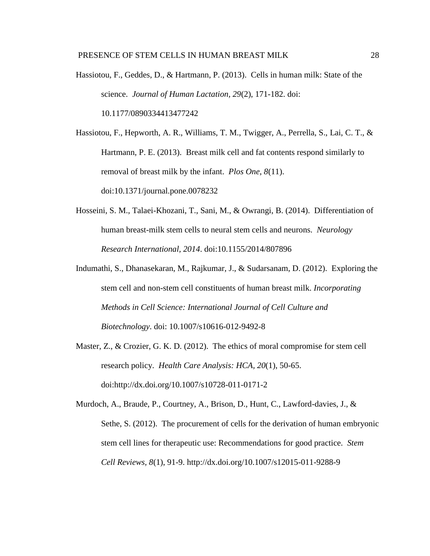Hassiotou, F., Geddes, D., & Hartmann, P. (2013). Cells in human milk: State of the science. *Journal of Human Lactation, 29*(2), 171-182. doi:

10.1177/0890334413477242

Hassiotou, F., Hepworth, A. R., Williams, T. M., Twigger, A., Perrella, S., Lai, C. T., & Hartmann, P. E. (2013). Breast milk cell and fat contents respond similarly to removal of breast milk by the infant. *Plos One*, *8*(11). doi:10.1371/journal.pone.0078232

- Hosseini, S. M., Talaei-Khozani, T., Sani, M., & Owrangi, B. (2014). Differentiation of human breast-milk stem cells to neural stem cells and neurons. *Neurology Research International, 2014*. doi:10.1155/2014/807896
- Indumathi, S., Dhanasekaran, M., Rajkumar, J., & Sudarsanam, D. (2012). Exploring the stem cell and non-stem cell constituents of human breast milk. *Incorporating Methods in Cell Science: International Journal of Cell Culture and Biotechnology*. doi: 10.1007/s10616-012-9492-8
- Master, Z., & Crozier, G. K. D. (2012). The ethics of moral compromise for stem cell research policy. *Health Care Analysis: HCA, 20*(1), 50-65. doi:http://dx.doi.org/10.1007/s10728-011-0171-2

Murdoch, A., Braude, P., Courtney, A., Brison, D., Hunt, C., Lawford-davies, J., & Sethe, S. (2012). The procurement of cells for the derivation of human embryonic stem cell lines for therapeutic use: Recommendations for good practice. *Stem Cell Reviews, 8*(1), 91-9.<http://dx.doi.org/10.1007/s12015-011-9288-9>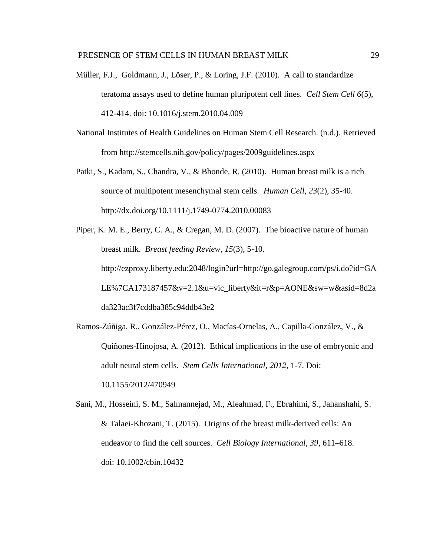- Müller, F.J., Goldmann, J., Löser, P., & Loring, J.F. (2010). A call to standardize teratoma assays used to define human pluripotent cell lines. *Cell Stem Cell 6*(5), 412-414. doi: 10.1016/j.stem.2010.04.009
- National Institutes of Health Guidelines on Human Stem Cell Research. (n.d.). Retrieved from http://stemcells.nih.gov/policy/pages/2009guidelines.aspx
- Patki, S., Kadam, S., Chandra, V., & Bhonde, R. (2010). Human breast milk is a rich source of multipotent mesenchymal stem cells. *Human Cell, 23*(2), 35-40. <http://dx.doi.org/10.1111/j.1749-0774.2010.00083>
- Piper, K. M. E., Berry, C. A., & Cregan, M. D. (2007). The bioactive nature of human breast milk. *Breast feeding Review*, *15*(3), 5-10. [http://ezproxy.liberty.edu:2048/login?url=http://go.galegroup.com/ps/i.do?id=GA](http://ezproxy.liberty.edu:2048/login?url=http://go.galegroup.com/ps/i.do?id=GALE%7CA173187457&v=2.1&u=vic_liberty&it=r&p=AONE&sw=w&asid=8d2ada323ac3f7cddba385c94ddb43e2) [LE%7CA173187457&v=2.1&u=vic\\_liberty&it=r&p=AONE&sw=w&asid=8d2a](http://ezproxy.liberty.edu:2048/login?url=http://go.galegroup.com/ps/i.do?id=GALE%7CA173187457&v=2.1&u=vic_liberty&it=r&p=AONE&sw=w&asid=8d2ada323ac3f7cddba385c94ddb43e2) [da323ac3f7cddba385c94ddb43e2](http://ezproxy.liberty.edu:2048/login?url=http://go.galegroup.com/ps/i.do?id=GALE%7CA173187457&v=2.1&u=vic_liberty&it=r&p=AONE&sw=w&asid=8d2ada323ac3f7cddba385c94ddb43e2)
- Ramos-Zúñiga, R., González-Pérez, O., Macías-Ornelas, A., Capilla-González, V., & Quiñones-Hinojosa, A. (2012). Ethical implications in the use of embryonic and adult neural stem cells*. Stem Cells International, 2012*, 1-7. Doi: 10.1155/2012/470949
- Sani, M., Hosseini, S. M., Salmannejad, M., Aleahmad, F., Ebrahimi, S., Jahanshahi, S. & Talaei-Khozani, T. (2015). Origins of the breast milk-derived cells: An endeavor to find the cell sources. *Cell Biology International, 39*, 611–618. doi: 10.1002/cbin.10432